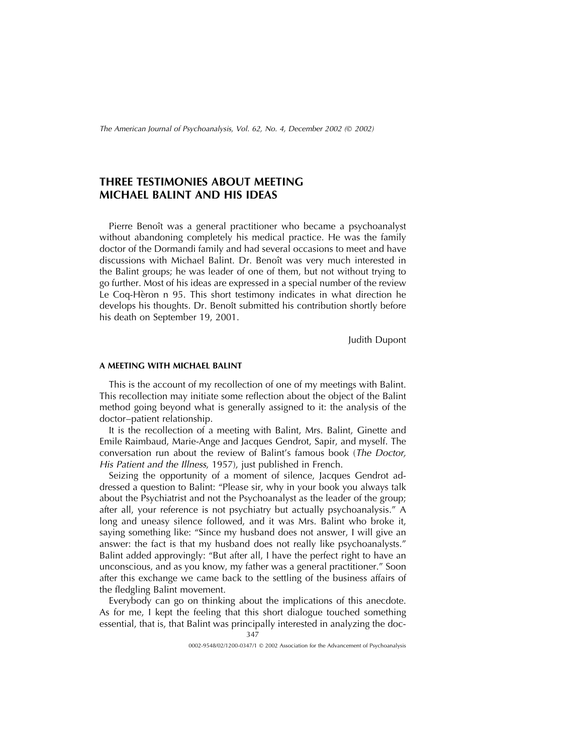The American Journal of Psychoanalysis, Vol. 62, No. 4, December 2002 (@ 2002)

# **THREE TESTIMONIES ABOUT MEETING MICHAEL BALINT AND HIS IDEAS**

Pierre Benoît was a general practitioner who became a psychoanalyst without abandoning completely his medical practice. He was the family doctor of the Dormandi family and had several occasions to meet and have discussions with Michael Balint. Dr. Benoît was very much interested in the Balint groups; he was leader of one of them, but not without trying to go further. Most of his ideas are expressed in a special number of the review Le Coq-Hèron n 95. This short testimony indicates in what direction he develops his thoughts. Dr. Benoît submitted his contribution shortly before his death on September 19, 2001.

Judith Dupont

## **A MEETING WITH MICHAEL BALINT**

This is the account of my recollection of one of my meetings with Balint. This recollection may initiate some reflection about the object of the Balint method going beyond what is generally assigned to it: the analysis of the doctor–patient relationship.

It is the recollection of a meeting with Balint, Mrs. Balint, Ginette and Emile Raimbaud, Marie-Ange and Jacques Gendrot, Sapir, and myself. The conversation run about the review of Balint's famous book (The Doctor, His Patient and the Illness, 1957), just published in French.

Seizing the opportunity of a moment of silence, Jacques Gendrot addressed a question to Balint: "Please sir, why in your book you always talk about the Psychiatrist and not the Psychoanalyst as the leader of the group; after all, your reference is not psychiatry but actually psychoanalysis." A long and uneasy silence followed, and it was Mrs. Balint who broke it, saying something like: "Since my husband does not answer, I will give an answer: the fact is that my husband does not really like psychoanalysts." Balint added approvingly: "But after all, I have the perfect right to have an unconscious, and as you know, my father was a general practitioner." Soon after this exchange we came back to the settling of the business affairs of the fledgling Balint movement.

Everybody can go on thinking about the implications of this anecdote. As for me, I kept the feeling that this short dialogue touched something essential, that is, that Balint was principally interested in analyzing the doc-

347

0002-9548/02/1200-0347/1 @ 2002 Association for the Advancement of Psychoanalysis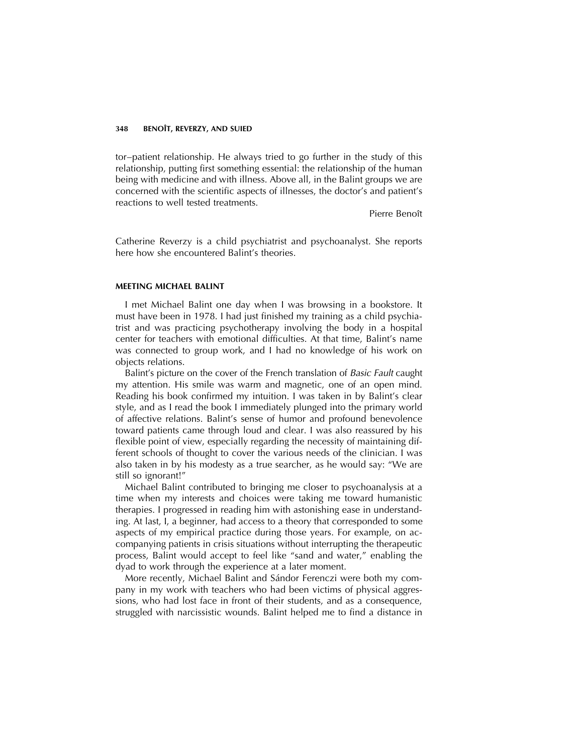#### **348 BENOIˆT, REVERZY, AND SUIED**

tor–patient relationship. He always tried to go further in the study of this relationship, putting first something essential: the relationship of the human being with medicine and with illness. Above all, in the Balint groups we are concerned with the scientific aspects of illnesses, the doctor's and patient's reactions to well tested treatments.

Pierre Benoît

Catherine Reverzy is a child psychiatrist and psychoanalyst. She reports here how she encountered Balint's theories.

#### **MEETING MICHAEL BALINT**

I met Michael Balint one day when I was browsing in a bookstore. It must have been in 1978. I had just finished my training as a child psychiatrist and was practicing psychotherapy involving the body in a hospital center for teachers with emotional difficulties. At that time, Balint's name was connected to group work, and I had no knowledge of his work on objects relations.

Balint's picture on the cover of the French translation of Basic Fault caught my attention. His smile was warm and magnetic, one of an open mind. Reading his book confirmed my intuition. I was taken in by Balint's clear style, and as I read the book I immediately plunged into the primary world of affective relations. Balint's sense of humor and profound benevolence toward patients came through loud and clear. I was also reassured by his flexible point of view, especially regarding the necessity of maintaining different schools of thought to cover the various needs of the clinician. I was also taken in by his modesty as a true searcher, as he would say: "We are still so ignorant!"

Michael Balint contributed to bringing me closer to psychoanalysis at a time when my interests and choices were taking me toward humanistic therapies. I progressed in reading him with astonishing ease in understanding. At last, I, a beginner, had access to a theory that corresponded to some aspects of my empirical practice during those years. For example, on accompanying patients in crisis situations without interrupting the therapeutic process, Balint would accept to feel like "sand and water," enabling the dyad to work through the experience at a later moment.

More recently, Michael Balint and Sándor Ferenczi were both my company in my work with teachers who had been victims of physical aggressions, who had lost face in front of their students, and as a consequence, struggled with narcissistic wounds. Balint helped me to find a distance in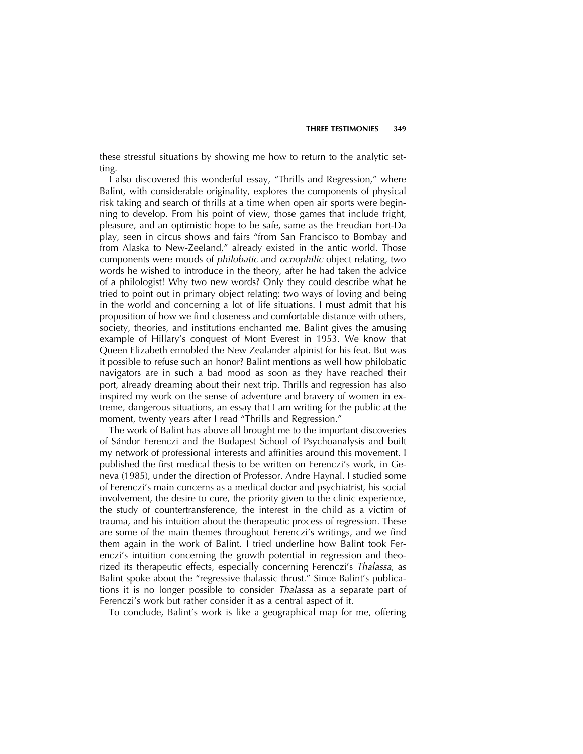these stressful situations by showing me how to return to the analytic setting.

I also discovered this wonderful essay, "Thrills and Regression," where Balint, with considerable originality, explores the components of physical risk taking and search of thrills at a time when open air sports were beginning to develop. From his point of view, those games that include fright, pleasure, and an optimistic hope to be safe, same as the Freudian Fort-Da play, seen in circus shows and fairs "from San Francisco to Bombay and from Alaska to New-Zeeland," already existed in the antic world. Those components were moods of philobatic and ocnophilic object relating, two words he wished to introduce in the theory, after he had taken the advice of a philologist! Why two new words? Only they could describe what he tried to point out in primary object relating: two ways of loving and being in the world and concerning a lot of life situations. I must admit that his proposition of how we find closeness and comfortable distance with others, society, theories, and institutions enchanted me. Balint gives the amusing example of Hillary's conquest of Mont Everest in 1953. We know that Queen Elizabeth ennobled the New Zealander alpinist for his feat. But was it possible to refuse such an honor? Balint mentions as well how philobatic navigators are in such a bad mood as soon as they have reached their port, already dreaming about their next trip. Thrills and regression has also inspired my work on the sense of adventure and bravery of women in extreme, dangerous situations, an essay that I am writing for the public at the moment, twenty years after I read "Thrills and Regression."

The work of Balint has above all brought me to the important discoveries of Sa´ndor Ferenczi and the Budapest School of Psychoanalysis and built my network of professional interests and affinities around this movement. I published the first medical thesis to be written on Ferenczi's work, in Geneva (1985), under the direction of Professor. Andre Haynal. I studied some of Ferenczi's main concerns as a medical doctor and psychiatrist, his social involvement, the desire to cure, the priority given to the clinic experience, the study of countertransference, the interest in the child as a victim of trauma, and his intuition about the therapeutic process of regression. These are some of the main themes throughout Ferenczi's writings, and we find them again in the work of Balint. I tried underline how Balint took Ferenczi's intuition concerning the growth potential in regression and theorized its therapeutic effects, especially concerning Ferenczi's Thalassa, as Balint spoke about the "regressive thalassic thrust." Since Balint's publications it is no longer possible to consider Thalassa as a separate part of Ferenczi's work but rather consider it as a central aspect of it.

To conclude, Balint's work is like a geographical map for me, offering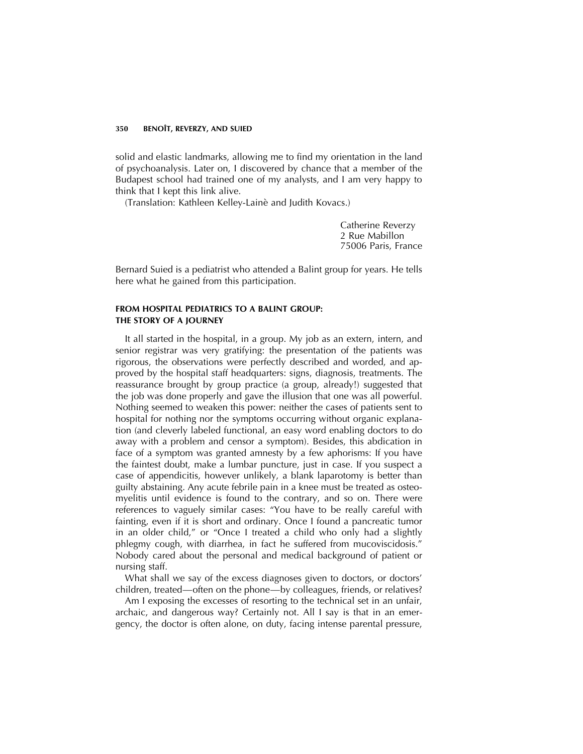#### **350 BENOIˆT, REVERZY, AND SUIED**

solid and elastic landmarks, allowing me to find my orientation in the land of psychoanalysis. Later on, I discovered by chance that a member of the Budapest school had trained one of my analysts, and I am very happy to think that I kept this link alive.

(Translation: Kathleen Kelley-Laine` and Judith Kovacs.)

Catherine Reverzy 2 Rue Mabillon 75006 Paris, France

Bernard Suied is a pediatrist who attended a Balint group for years. He tells here what he gained from this participation.

# **FROM HOSPITAL PEDIATRICS TO A BALINT GROUP: THE STORY OF A JOURNEY**

It all started in the hospital, in a group. My job as an extern, intern, and senior registrar was very gratifying: the presentation of the patients was rigorous, the observations were perfectly described and worded, and approved by the hospital staff headquarters: signs, diagnosis, treatments. The reassurance brought by group practice (a group, already!) suggested that the job was done properly and gave the illusion that one was all powerful. Nothing seemed to weaken this power: neither the cases of patients sent to hospital for nothing nor the symptoms occurring without organic explanation (and cleverly labeled functional, an easy word enabling doctors to do away with a problem and censor a symptom). Besides, this abdication in face of a symptom was granted amnesty by a few aphorisms: If you have the faintest doubt, make a lumbar puncture, just in case. If you suspect a case of appendicitis, however unlikely, a blank laparotomy is better than guilty abstaining. Any acute febrile pain in a knee must be treated as osteomyelitis until evidence is found to the contrary, and so on. There were references to vaguely similar cases: "You have to be really careful with fainting, even if it is short and ordinary. Once I found a pancreatic tumor in an older child," or "Once I treated a child who only had a slightly phlegmy cough, with diarrhea, in fact he suffered from mucoviscidosis." Nobody cared about the personal and medical background of patient or nursing staff.

What shall we say of the excess diagnoses given to doctors, or doctors' children, treated—often on the phone—by colleagues, friends, or relatives?

Am I exposing the excesses of resorting to the technical set in an unfair, archaic, and dangerous way? Certainly not. All I say is that in an emergency, the doctor is often alone, on duty, facing intense parental pressure,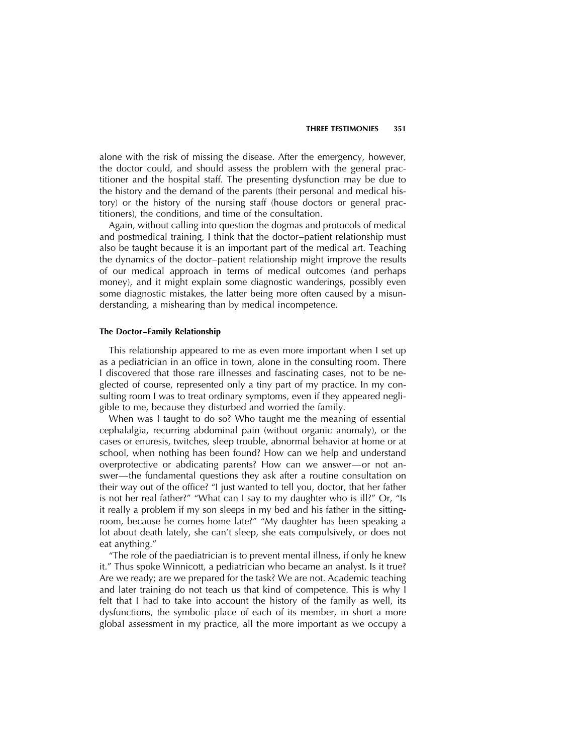alone with the risk of missing the disease. After the emergency, however, the doctor could, and should assess the problem with the general practitioner and the hospital staff. The presenting dysfunction may be due to the history and the demand of the parents (their personal and medical history) or the history of the nursing staff (house doctors or general practitioners), the conditions, and time of the consultation.

Again, without calling into question the dogmas and protocols of medical and postmedical training, I think that the doctor–patient relationship must also be taught because it is an important part of the medical art. Teaching the dynamics of the doctor–patient relationship might improve the results of our medical approach in terms of medical outcomes (and perhaps money), and it might explain some diagnostic wanderings, possibly even some diagnostic mistakes, the latter being more often caused by a misunderstanding, a mishearing than by medical incompetence.

#### **The Doctor–Family Relationship**

This relationship appeared to me as even more important when I set up as a pediatrician in an office in town, alone in the consulting room. There I discovered that those rare illnesses and fascinating cases, not to be neglected of course, represented only a tiny part of my practice. In my consulting room I was to treat ordinary symptoms, even if they appeared negligible to me, because they disturbed and worried the family.

When was I taught to do so? Who taught me the meaning of essential cephalalgia, recurring abdominal pain (without organic anomaly), or the cases or enuresis, twitches, sleep trouble, abnormal behavior at home or at school, when nothing has been found? How can we help and understand overprotective or abdicating parents? How can we answer—or not answer—the fundamental questions they ask after a routine consultation on their way out of the office? "I just wanted to tell you, doctor, that her father is not her real father?" "What can I say to my daughter who is ill?" Or, "Is it really a problem if my son sleeps in my bed and his father in the sittingroom, because he comes home late?" "My daughter has been speaking a lot about death lately, she can't sleep, she eats compulsively, or does not eat anything."

"The role of the paediatrician is to prevent mental illness, if only he knew it." Thus spoke Winnicott, a pediatrician who became an analyst. Is it true? Are we ready; are we prepared for the task? We are not. Academic teaching and later training do not teach us that kind of competence. This is why I felt that I had to take into account the history of the family as well, its dysfunctions, the symbolic place of each of its member, in short a more global assessment in my practice, all the more important as we occupy a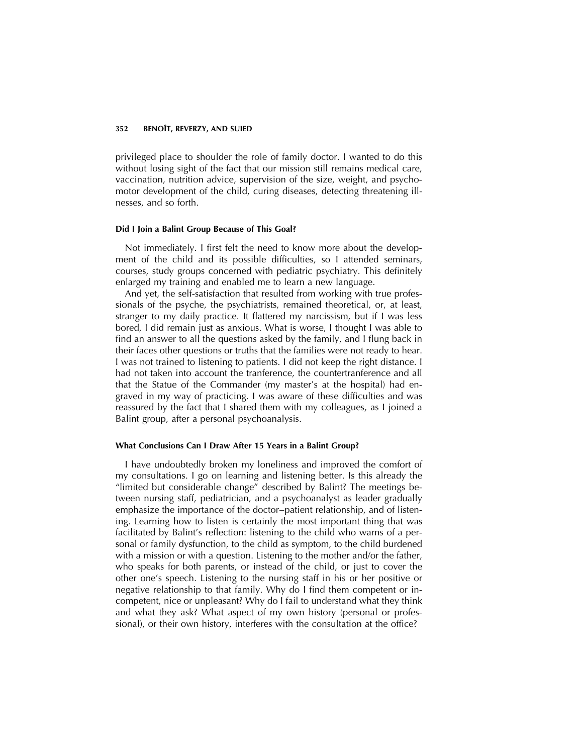#### **352 BENOIˆT, REVERZY, AND SUIED**

privileged place to shoulder the role of family doctor. I wanted to do this without losing sight of the fact that our mission still remains medical care, vaccination, nutrition advice, supervision of the size, weight, and psychomotor development of the child, curing diseases, detecting threatening illnesses, and so forth.

### **Did I Join a Balint Group Because of This Goal?**

Not immediately. I first felt the need to know more about the development of the child and its possible difficulties, so I attended seminars, courses, study groups concerned with pediatric psychiatry. This definitely enlarged my training and enabled me to learn a new language.

And yet, the self-satisfaction that resulted from working with true professionals of the psyche, the psychiatrists, remained theoretical, or, at least, stranger to my daily practice. It flattered my narcissism, but if I was less bored, I did remain just as anxious. What is worse, I thought I was able to find an answer to all the questions asked by the family, and I flung back in their faces other questions or truths that the families were not ready to hear. I was not trained to listening to patients. I did not keep the right distance. I had not taken into account the tranference, the countertranference and all that the Statue of the Commander (my master's at the hospital) had engraved in my way of practicing. I was aware of these difficulties and was reassured by the fact that I shared them with my colleagues, as I joined a Balint group, after a personal psychoanalysis.

## **What Conclusions Can I Draw After 15 Years in a Balint Group?**

I have undoubtedly broken my loneliness and improved the comfort of my consultations. I go on learning and listening better. Is this already the "limited but considerable change" described by Balint? The meetings between nursing staff, pediatrician, and a psychoanalyst as leader gradually emphasize the importance of the doctor–patient relationship, and of listening. Learning how to listen is certainly the most important thing that was facilitated by Balint's reflection: listening to the child who warns of a personal or family dysfunction, to the child as symptom, to the child burdened with a mission or with a question. Listening to the mother and/or the father, who speaks for both parents, or instead of the child, or just to cover the other one's speech. Listening to the nursing staff in his or her positive or negative relationship to that family. Why do I find them competent or incompetent, nice or unpleasant? Why do I fail to understand what they think and what they ask? What aspect of my own history (personal or professional), or their own history, interferes with the consultation at the office?